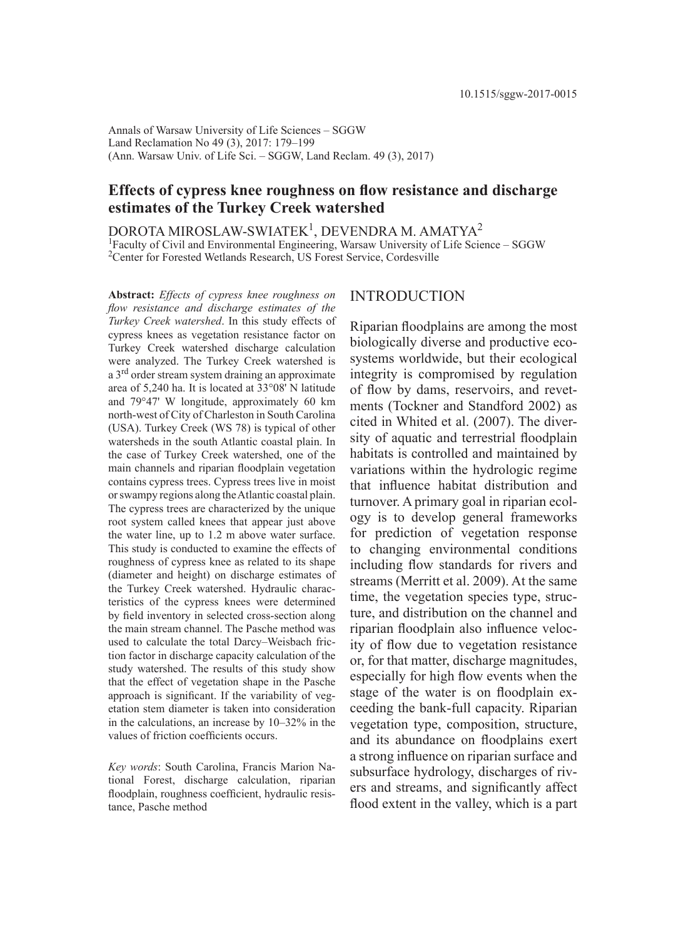Annals of Warsaw University of Life Sciences – SGGW Land Reclamation No 49 (3), 2017: 179–199 (Ann. Warsaw Univ. of Life Sci. – SGGW, Land Reclam. 49 (3), 2017)

# **Effects of cypress knee roughness on flow resistance and discharge estimates of the Turkey Creek watershed**

 $\tt{DOROTA}$  MIROSLAW-SWIATEK $^1$ ,  $\tt{D}\rm{EVENDRA}$  M. AMATYA $^2$ <sup>1</sup>Faculty of Civil and Environmental Engineering, Warsaw University of Life Science - SGGW <sup>2</sup>Center for Forested Wetlands Research, US Forest Service, Cordesville

**Abstract:** *Effects of cypress knee roughness on fl ow resistance and discharge estimates of the Turkey Creek watershed*. In this study effects of cypress knees as vegetation resistance factor on Turkey Creek watershed discharge calculation were analyzed. The Turkey Creek watershed is a 3rd order stream system draining an approximate area of 5,240 ha. It is located at 33°08' N latitude and 79°47' W longitude, approximately 60 km north-west of City of Charleston in South Carolina (USA). Turkey Creek (WS 78) is typical of other watersheds in the south Atlantic coastal plain. In the case of Turkey Creek watershed, one of the main channels and riparian floodplain vegetation contains cypress trees. Cypress trees live in moist or swampy regions along the Atlantic coastal plain. The cypress trees are characterized by the unique root system called knees that appear just above the water line, up to 1.2 m above water surface. This study is conducted to examine the effects of roughness of cypress knee as related to its shape (diameter and height) on discharge estimates of the Turkey Creek watershed. Hydraulic characteristics of the cypress knees were determined by field inventory in selected cross-section along the main stream channel. The Pasche method was used to calculate the total Darcy–Weisbach friction factor in discharge capacity calculation of the study watershed. The results of this study show that the effect of vegetation shape in the Pasche approach is significant. If the variability of vegetation stem diameter is taken into consideration in the calculations, an increase by 10–32% in the values of friction coefficients occurs.

*Key words*: South Carolina, Francis Marion National Forest, discharge calculation, riparian floodplain, roughness coefficient, hydraulic resistance, Pasche method

## INTRODUCTION

Riparian floodplains are among the most biologically diverse and productive ecosystems worldwide, but their ecological integrity is compromised by regulation of flow by dams, reservoirs, and revetments (Tockner and Standford 2002) as cited in Whited et al. (2007). The diversity of aquatic and terrestrial floodplain habitats is controlled and maintained by variations within the hydrologic regime that influence habitat distribution and turnover. A primary goal in riparian ecology is to develop general frameworks for prediction of vegetation response to changing environmental conditions including flow standards for rivers and streams (Merritt et al. 2009). At the same time, the vegetation species type, structure, and distribution on the channel and riparian floodplain also influence velocity of flow due to vegetation resistance or, for that matter, discharge magnitudes, especially for high flow events when the stage of the water is on floodplain exceeding the bank-full capacity. Riparian vegetation type, composition, structure, and its abundance on floodplains exert a strong influence on riparian surface and subsurface hydrology, discharges of rivers and streams, and significantly affect flood extent in the valley, which is a part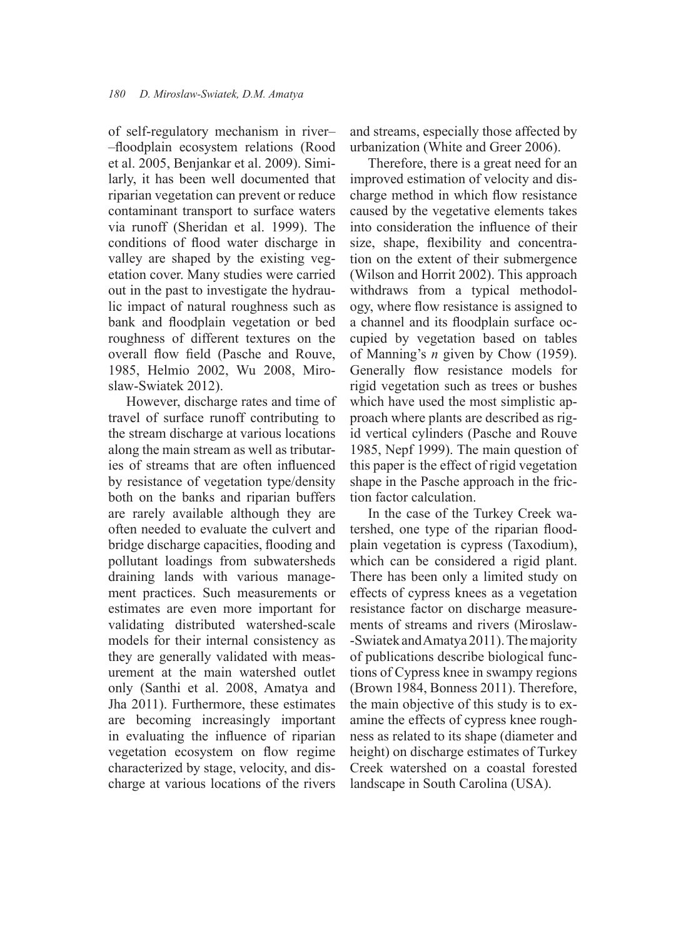of self-regulatory mechanism in river– –fl oodplain ecosystem relations (Rood et al. 2005, Benjankar et al. 2009). Similarly, it has been well documented that riparian vegetation can prevent or reduce contaminant transport to surface waters via runoff (Sheridan et al. 1999). The conditions of flood water discharge in valley are shaped by the existing vegetation cover. Many studies were carried out in the past to investigate the hydraulic impact of natural roughness such as bank and floodplain vegetation or bed roughness of different textures on the overall flow field (Pasche and Rouve, 1985, Helmio 2002, Wu 2008, Miroslaw-Swiatek 2012).

However, discharge rates and time of travel of surface runoff contributing to the stream discharge at various locations along the main stream as well as tributaries of streams that are often influenced by resistance of vegetation type/density both on the banks and riparian buffers are rarely available although they are often needed to evaluate the culvert and bridge discharge capacities, flooding and pollutant loadings from subwatersheds draining lands with various management practices. Such measurements or estimates are even more important for validating distributed watershed-scale models for their internal consistency as they are generally validated with measurement at the main watershed outlet only (Santhi et al. 2008, Amatya and Jha 2011). Furthermore, these estimates are becoming increasingly important in evaluating the influence of riparian vegetation ecosystem on flow regime characterized by stage, velocity, and discharge at various locations of the rivers

and streams, especially those affected by urbanization (White and Greer 2006).

Therefore, there is a great need for an improved estimation of velocity and discharge method in which flow resistance caused by the vegetative elements takes into consideration the influence of their size, shape, flexibility and concentration on the extent of their submergence (Wilson and Horrit 2002). This approach withdraws from a typical methodology, where flow resistance is assigned to a channel and its floodplain surface occupied by vegetation based on tables of Manning's *n* given by Chow (1959). Generally flow resistance models for rigid vegetation such as trees or bushes which have used the most simplistic approach where plants are described as rigid vertical cylinders (Pasche and Rouve 1985, Nepf 1999). The main question of this paper is the effect of rigid vegetation shape in the Pasche approach in the friction factor calculation.

In the case of the Turkey Creek watershed, one type of the riparian floodplain vegetation is cypress (Taxodium), which can be considered a rigid plant. There has been only a limited study on effects of cypress knees as a vegetation resistance factor on discharge measurements of streams and rivers (Miroslaw- -Swiatek and Amatya 2011). The majority of publications describe biological functions of Cypress knee in swampy regions (Brown 1984, Bonness 2011). Therefore, the main objective of this study is to examine the effects of cypress knee roughness as related to its shape (diameter and height) on discharge estimates of Turkey Creek watershed on a coastal forested landscape in South Carolina (USA).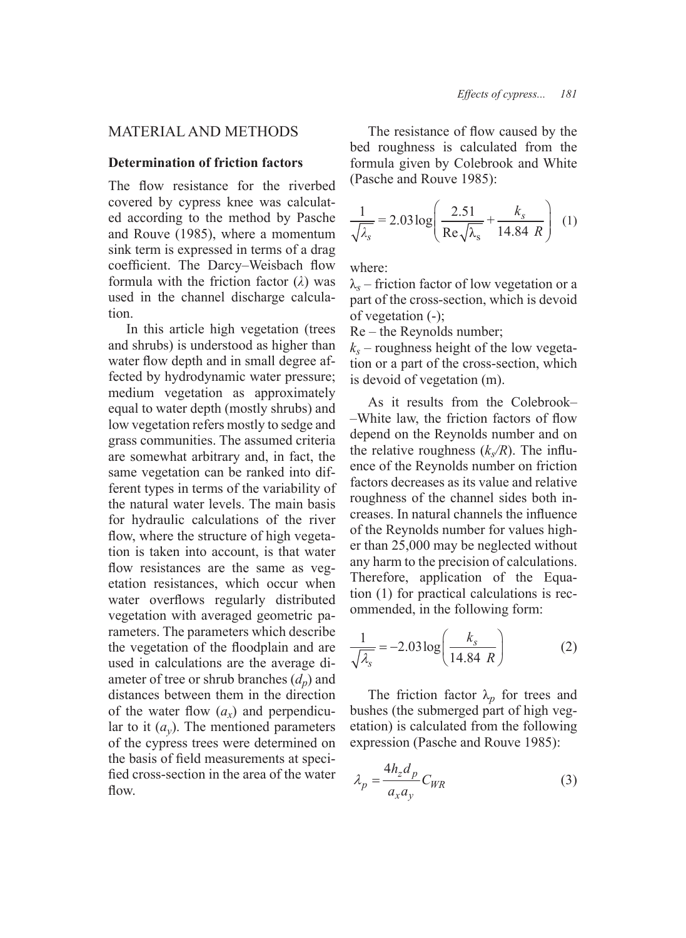# MATERIAL AND METHODS

## **Determination of friction factors**

The flow resistance for the riverbed covered by cypress knee was calculated according to the method by Pasche and Rouve (1985), where a momentum sink term is expressed in terms of a drag coefficient. The Darcy–Weisbach flow formula with the friction factor (*λ*) was used in the channel discharge calculation.

In this article high vegetation (trees and shrubs) is understood as higher than water flow depth and in small degree affected by hydrodynamic water pressure; medium vegetation as approximately equal to water depth (mostly shrubs) and low vegetation refers mostly to sedge and grass communities. The assumed criteria are somewhat arbitrary and, in fact, the same vegetation can be ranked into different types in terms of the variability of the natural water levels. The main basis for hydraulic calculations of the river flow, where the structure of high vegetation is taken into account, is that water flow resistances are the same as vegetation resistances, which occur when water overflows regularly distributed vegetation with averaged geometric parameters. The parameters which describe the vegetation of the floodplain and are used in calculations are the average diameter of tree or shrub branches  $(d_n)$  and distances between them in the direction of the water flow  $(a_x)$  and perpendicular to it (*ay*). The mentioned parameters of the cypress trees were determined on the basis of field measurements at specified cross-section in the area of the water flow.

The resistance of flow caused by the bed roughness is calculated from the formula given by Colebrook and White (Pasche and Rouve 1985):

$$
\frac{1}{\sqrt{\lambda_s}} = 2.03 \log \left( \frac{2.51}{\text{Re}\sqrt{\lambda_s}} + \frac{k_s}{14.84 \text{ R}} \right) (1)
$$

where:

λ*s* – friction factor of low vegetation or a part of the cross-section, which is devoid of vegetation (-);

Re – the Reynolds number;

 $k<sub>s</sub>$  – roughness height of the low vegetation or a part of the cross-section, which is devoid of vegetation (m).

As it results from the Colebrook–  $-White$  law, the friction factors of flow depend on the Reynolds number and on the relative roughness  $(k_s/R)$ . The influence of the Reynolds number on friction factors decreases as its value and relative roughness of the channel sides both increases. In natural channels the influence of the Reynolds number for values higher than 25,000 may be neglected without any harm to the precision of calculations. Therefore, application of the Equation (1) for practical calculations is recommended, in the following form:

$$
\frac{1}{\sqrt{\lambda_s}} = -2.03 \log \left( \frac{k_s}{14.84 \ R} \right) \tag{2}
$$

The friction factor  $\lambda_p$  for trees and bushes (the submerged part of high vegetation) is calculated from the following expression (Pasche and Rouve 1985):

$$
\lambda_p = \frac{4h_z d_p}{a_x a_y} C_{WR}
$$
 (3)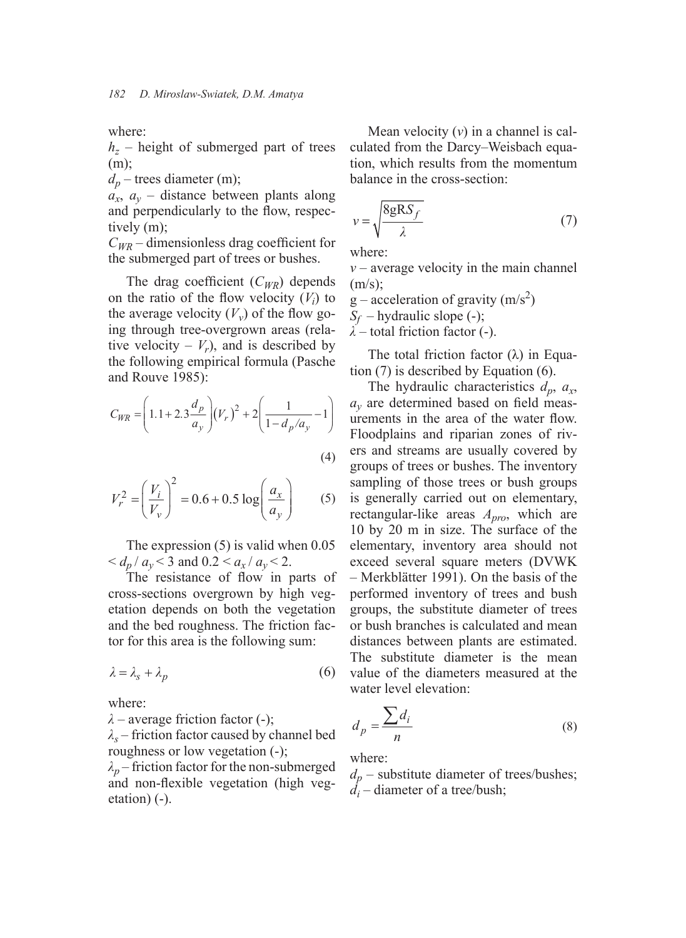where:

*hz* – height of submerged part of trees (m);

 $d_p$  – trees diameter (m);

 $a_x$ ,  $a_y$  – distance between plants along and perpendicularly to the flow, respectively (m);

 $C_{WR}$  – dimensionless drag coefficient for the submerged part of trees or bushes.

The drag coefficient  $(C_{WR})$  depends on the ratio of the flow velocity  $(V_i)$  to the average velocity  $(V_v)$  of the flow going through tree-overgrown areas (relative velocity –  $V_r$ ), and is described by the following empirical formula (Pasche and Rouve 1985):

$$
C_{WR} = \left(1.1 + 2.3\frac{d_p}{a_y}\right) (V_r)^2 + 2\left(\frac{1}{1 - d_p/a_y} - 1\right)
$$
\n(4)

$$
V_r^2 = \left(\frac{V_i}{V_v}\right)^2 = 0.6 + 0.5 \log \left(\frac{a_x}{a_y}\right) \tag{5}
$$

The expression (5) is valid when 0.05  $d_p/a_v < 3$  and  $0.2 < a_x/a_v < 2$ .

The resistance of flow in parts of cross-sections overgrown by high vegetation depends on both the vegetation and the bed roughness. The friction factor for this area is the following sum:

$$
\lambda = \lambda_s + \lambda_p \tag{6}
$$

where:

*λ* – average friction factor (-);

*λs* – friction factor caused by channel bed roughness or low vegetation (-);

 $\lambda_p$  – friction factor for the non-submerged and non-flexible vegetation (high vegetation) (-).

Mean velocity (*v*) in a channel is calculated from the Darcy–Weisbach equation, which results from the momentum balance in the cross-section:

$$
v = \sqrt{\frac{8gRS_f}{\lambda}}
$$
 (7)

where:

*v* – average velocity in the main channel  $(m/s)$ ;

 $g$  – acceleration of gravity  $(m/s<sup>2</sup>)$ 

*Sf* – hydraulic slope (-);

*λ* – total friction factor (-).

The total friction factor  $(\lambda)$  in Equation (7) is described by Equation (6).

The hydraulic characteristics  $d_p$ ,  $a_x$ ,  $a<sub>v</sub>$  are determined based on field measurements in the area of the water flow. Floodplains and riparian zones of rivers and streams are usually covered by groups of trees or bushes. The inventory sampling of those trees or bush groups is generally carried out on elementary, rectangular-like areas *Apro*, which are 10 by 20 m in size. The surface of the elementary, inventory area should not exceed several square meters (DVWK – Merkblätter 1991). On the basis of the performed inventory of trees and bush groups, the substitute diameter of trees or bush branches is calculated and mean distances between plants are estimated. The substitute diameter is the mean value of the diameters measured at the water level elevation:

$$
d_p = \frac{\sum d_i}{n} \tag{8}
$$

where:

 $d_p$  – substitute diameter of trees/bushes;  $\overline{d}_i$  – diameter of a tree/bush;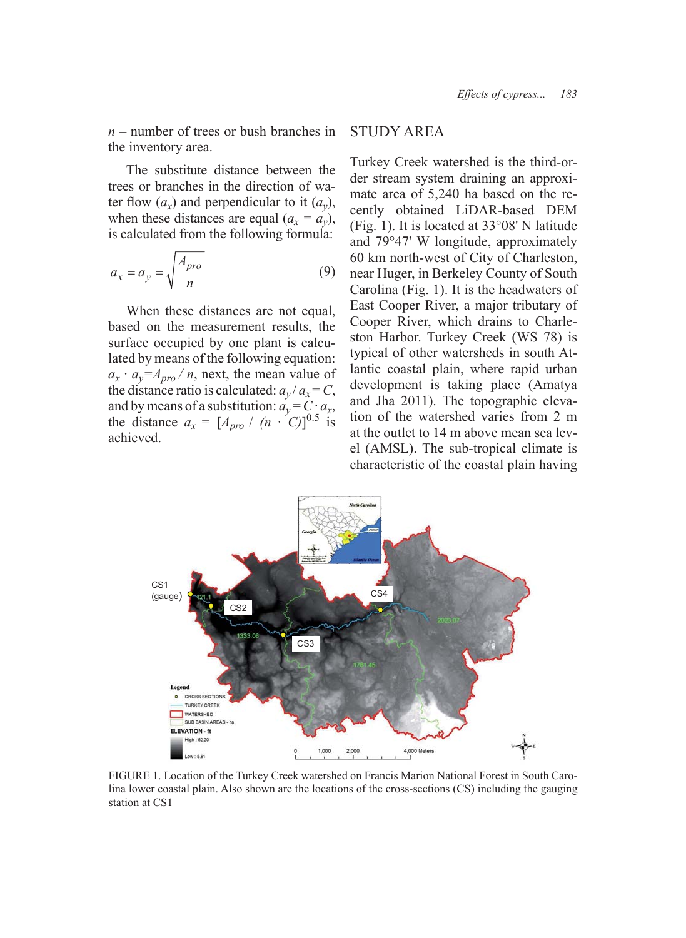*n* – number of trees or bush branches in the inventory area.

The substitute distance between the trees or branches in the direction of water flow  $(a_x)$  and perpendicular to it  $(a_y)$ , when these distances are equal  $(a_x = a_y)$ , is calculated from the following formula:

$$
a_x = a_y = \sqrt{\frac{A_{pro}}{n}}\tag{9}
$$

When these distances are not equal, based on the measurement results, the surface occupied by one plant is calculated by means of the following equation:  $a_x \cdot a_y = A_{\text{pro}}/n$ , next, the mean value of the distance ratio is calculated:  $a_v/a_x = C$ , and by means of a substitution:  $a_v = C \cdot a_x$ , the distance  $a_x = \left[A_{pro} / (n \cdot C)\right]^{0.5}$  is achieved.

# STUDY AREA

Turkey Creek watershed is the third-order stream system draining an approximate area of 5,240 ha based on the recently obtained LiDAR-based DEM (Fig. 1). It is located at 33°08' N latitude and 79°47' W longitude, approximately 60 km north-west of City of Charleston, near Huger, in Berkeley County of South Carolina (Fig. 1). It is the headwaters of East Cooper River, a major tributary of Cooper River, which drains to Charleston Harbor. Turkey Creek (WS 78) is typical of other watersheds in south Atlantic coastal plain, where rapid urban development is taking place (Amatya and Jha 2011). The topographic elevation of the watershed varies from 2 m at the outlet to 14 m above mean sea level (AMSL). The sub-tropical climate is characteristic of the coastal plain having



FIGURE 1. Location of the Turkey Creek watershed on Francis Marion National Forest in South Carolina lower coastal plain. Also shown are the locations of the cross-sections (CS) including the gauging station at CS1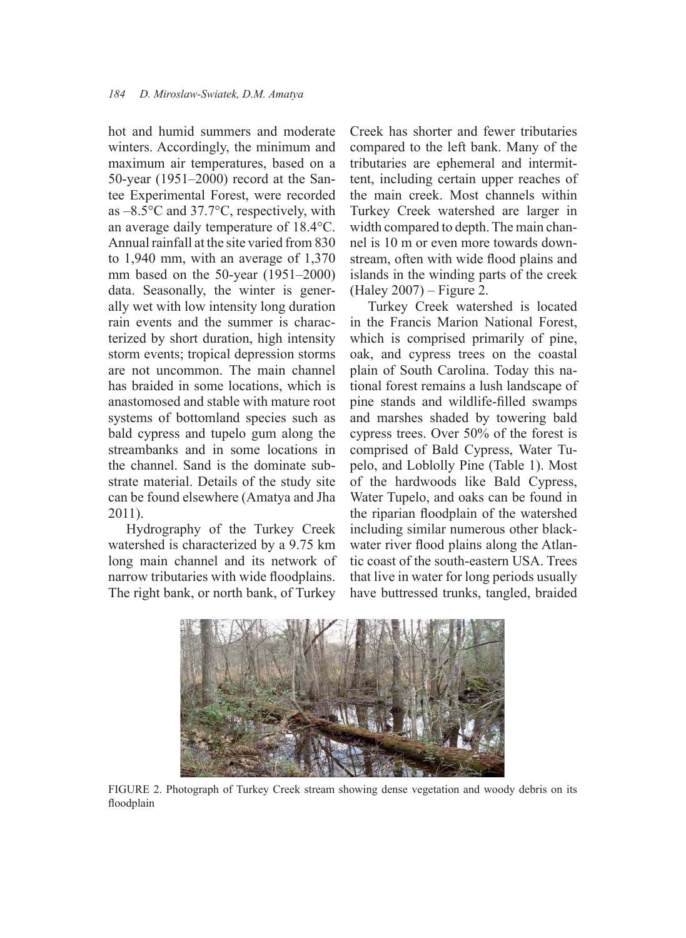hot and humid summers and moderate winters. Accordingly, the minimum and maximum air temperatures, based on a 50-year (1951–2000) record at the Santee Experimental Forest, were recorded as –8.5°C and 37.7°C, respectively, with an average daily temperature of 18.4°C. Annual rainfall at the site varied from 830 to 1,940 mm, with an average of 1,370 mm based on the 50-year (1951–2000) data. Seasonally, the winter is generally wet with low intensity long duration rain events and the summer is characterized by short duration, high intensity storm events; tropical depression storms are not uncommon. The main channel has braided in some locations, which is anastomosed and stable with mature root systems of bottomland species such as bald cypress and tupelo gum along the streambanks and in some locations in the channel. Sand is the dominate substrate material. Details of the study site can be found elsewhere (Amatya and Jha 2011).

Hydrography of the Turkey Creek watershed is characterized by a 9.75 km long main channel and its network of narrow tributaries with wide floodplains. The right bank, or north bank, of Turkey

Creek has shorter and fewer tributaries compared to the left bank. Many of the tributaries are ephemeral and intermittent, including certain upper reaches of the main creek. Most channels within Turkey Creek watershed are larger in width compared to depth. The main channel is 10 m or even more towards downstream, often with wide flood plains and islands in the winding parts of the creek (Haley 2007) – Figure 2.

Turkey Creek watershed is located in the Francis Marion National Forest, which is comprised primarily of pine, oak, and cypress trees on the coastal plain of South Carolina. Today this national forest remains a lush landscape of pine stands and wildlife-filled swamps and marshes shaded by towering bald cypress trees. Over 50% of the forest is comprised of Bald Cypress, Water Tupelo, and Loblolly Pine (Table 1). Most of the hardwoods like Bald Cypress, Water Tupelo, and oaks can be found in the riparian floodplain of the watershed including similar numerous other blackwater river flood plains along the Atlantic coast of the south-eastern USA. Trees that live in water for long periods usually have buttressed trunks, tangled, braided



FIGURE 2. Photograph of Turkey Creek stream showing dense vegetation and woody debris on its floodplain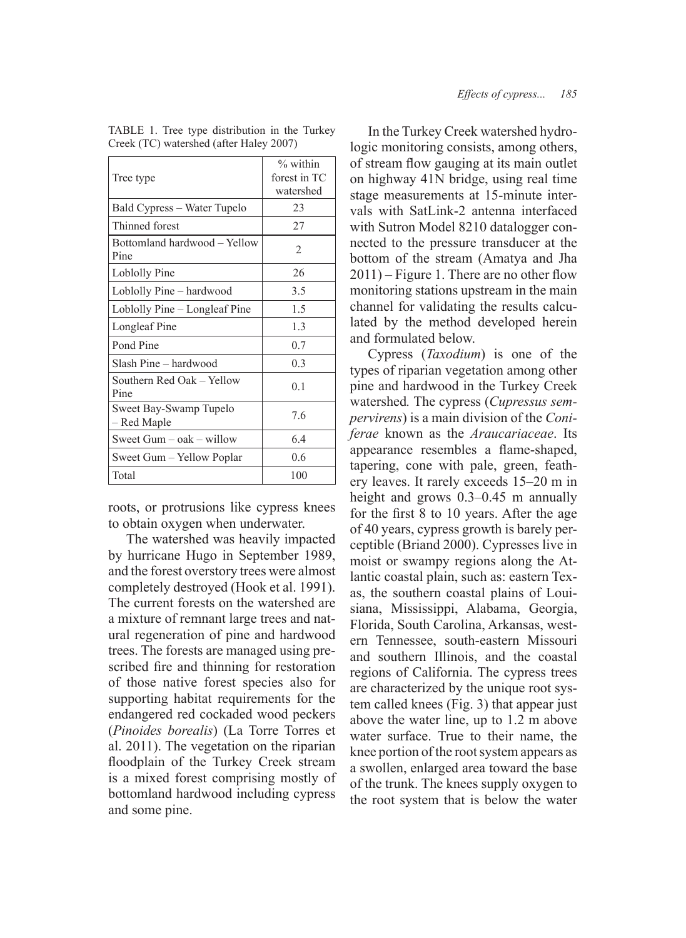| Tree type                             | % within<br>forest in TC<br>watershed |  |
|---------------------------------------|---------------------------------------|--|
| Bald Cypress – Water Tupelo           | 23                                    |  |
| Thinned forest                        | 27                                    |  |
| Bottomland hardwood - Yellow<br>Pine  | 2                                     |  |
| Loblolly Pine                         | 26                                    |  |
| Loblolly Pine – hardwood              | 3.5                                   |  |
| Loblolly Pine – Longleaf Pine         | 1.5                                   |  |
| Longleaf Pine                         | 1.3                                   |  |
| Pond Pine                             | 0.7                                   |  |
| Slash Pine - hardwood                 | 0.3                                   |  |
| Southern Red Oak – Yellow<br>Pine     | 0.1                                   |  |
| Sweet Bay-Swamp Tupelo<br>– Red Maple | 7.6                                   |  |
| Sweet Gum – oak – willow              | 6.4                                   |  |
| Sweet Gum – Yellow Poplar             | 0.6                                   |  |
| Total                                 | 100                                   |  |

TABLE 1. Tree type distribution in the Turkey Creek (TC) watershed (after Haley 2007)

roots, or protrusions like cypress knees to obtain oxygen when underwater.

The watershed was heavily impacted by hurricane Hugo in September 1989, and the forest overstory trees were almost completely destroyed (Hook et al. 1991). The current forests on the watershed are a mixture of remnant large trees and natural regeneration of pine and hardwood trees. The forests are managed using prescribed fire and thinning for restoration of those native forest species also for supporting habitat requirements for the endangered red cockaded wood peckers (*Pinoides borealis*) (La Torre Torres et al. 2011). The vegetation on the riparian floodplain of the Turkey Creek stream is a mixed forest comprising mostly of bottomland hardwood including cypress and some pine.

In the Turkey Creek watershed hydrologic monitoring consists, among others, of stream flow gauging at its main outlet on highway 41N bridge, using real time stage measurements at 15-minute intervals with SatLink-2 antenna interfaced with Sutron Model 8210 datalogger connected to the pressure transducer at the bottom of the stream (Amatya and Jha  $2011$ ) – Figure 1. There are no other flow monitoring stations upstream in the main channel for validating the results calculated by the method developed herein and formulated below.

Cypress (*Taxodium*) is one of the types of riparian vegetation among other pine and hardwood in the Turkey Creek watershed*.* The cypress (*Cupressus sempervirens*) is a main division of the *Coniferae* known as the *Araucariaceae*. Its appearance resembles a flame-shaped, tapering, cone with pale, green, feathery leaves. It rarely exceeds 15–20 m in height and grows 0.3–0.45 m annually for the first 8 to 10 years. After the age of 40 years, cypress growth is barely perceptible (Briand 2000). Cypresses live in moist or swampy regions along the Atlantic coastal plain, such as: eastern Texas, the southern coastal plains of Louisiana, Mississippi, Alabama, Georgia, Florida, South Carolina, Arkansas, western Tennessee, south-eastern Missouri and southern Illinois, and the coastal regions of California. The cypress trees are characterized by the unique root system called knees (Fig. 3) that appear just above the water line, up to 1.2 m above water surface. True to their name, the knee portion of the root system appears as a swollen, enlarged area toward the base of the trunk. The knees supply oxygen to the root system that is below the water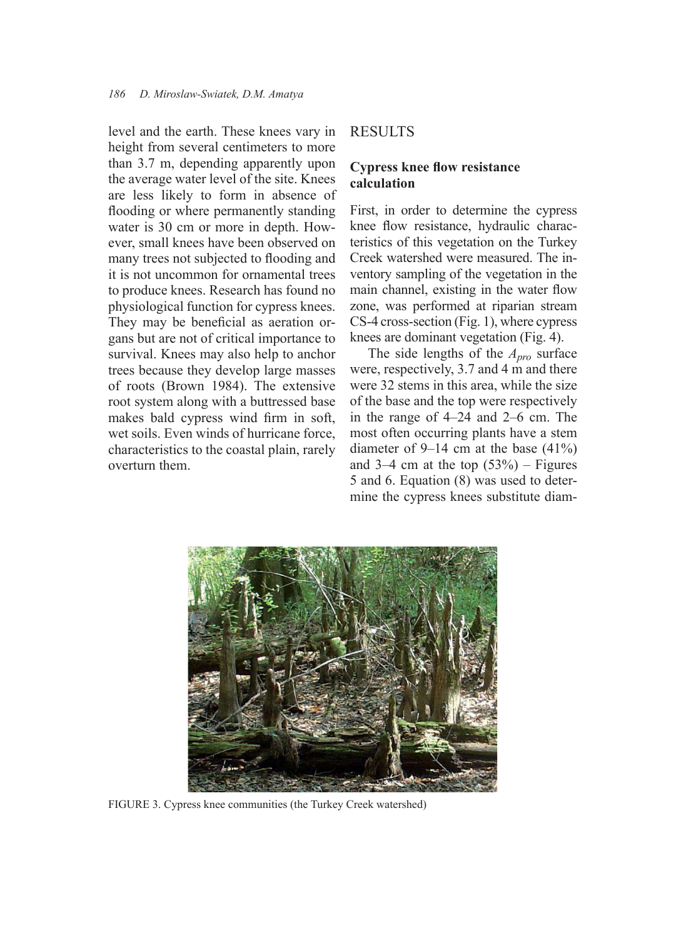level and the earth. These knees vary in height from several centimeters to more than 3.7 m, depending apparently upon the average water level of the site. Knees are less likely to form in absence of flooding or where permanently standing water is 30 cm or more in depth. However, small knees have been observed on many trees not subjected to flooding and it is not uncommon for ornamental trees to produce knees. Research has found no physiological function for cypress knees. They may be beneficial as aeration organs but are not of critical importance to survival. Knees may also help to anchor trees because they develop large masses of roots (Brown 1984). The extensive root system along with a buttressed base makes bald cypress wind firm in soft, wet soils. Even winds of hurricane force, characteristics to the coastal plain, rarely overturn them.

## **RESULTS**

## **Cypress knee flow resistance calculation**

First, in order to determine the cypress knee flow resistance, hydraulic characteristics of this vegetation on the Turkey Creek watershed were measured. The inventory sampling of the vegetation in the main channel, existing in the water flow zone, was performed at riparian stream CS-4 cross-section (Fig. 1), where cypress knees are dominant vegetation (Fig. 4).

The side lengths of the *Apro* surface were, respectively, 3.7 and 4 m and there were 32 stems in this area, while the size of the base and the top were respectively in the range of 4–24 and 2–6 cm. The most often occurring plants have a stem diameter of 9–14 cm at the base  $(41\%)$ and 3–4 cm at the top  $(53%)$  – Figures 5 and 6. Equation (8) was used to determine the cypress knees substitute diam-



FIGURE 3. Cypress knee communities (the Turkey Creek watershed)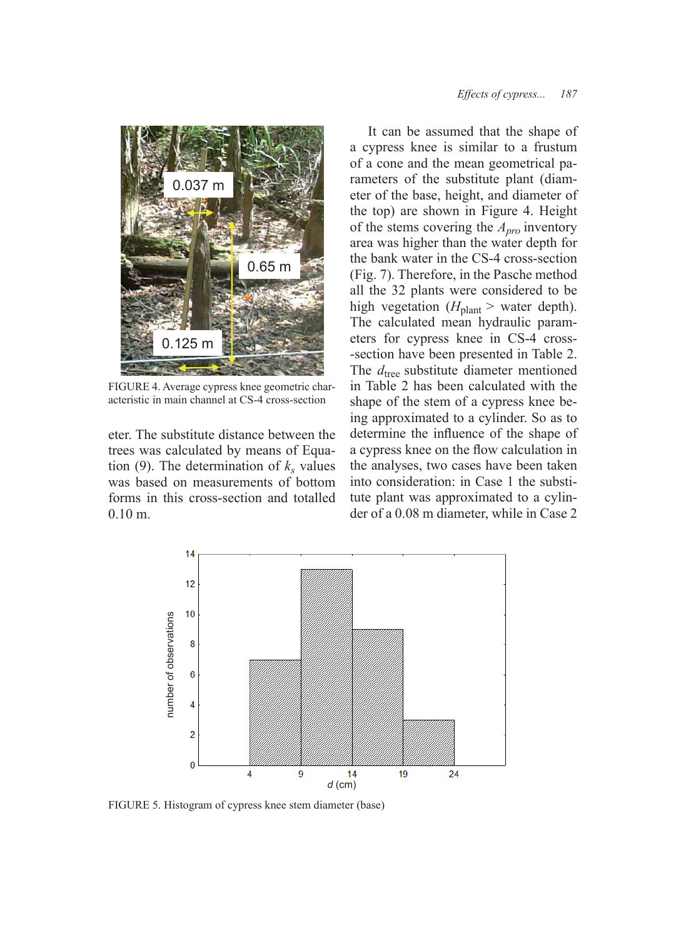

FIGURE 4. Average cypress knee geometric characteristic in main channel at CS-4 cross-section

eter. The substitute distance between the trees was calculated by means of Equation (9). The determination of  $k<sub>s</sub>$  values was based on measurements of bottom forms in this cross-section and totalled 0.10 m.

It can be assumed that the shape of a cypress knee is similar to a frustum of a cone and the mean geometrical parameters of the substitute plant (diameter of the base, height, and diameter of the top) are shown in Figure 4. Height of the stems covering the *Apro* inventory area was higher than the water depth for the bank water in the CS-4 cross-section (Fig. 7). Therefore, in the Pasche method all the 32 plants were considered to be high vegetation ( $H_{\text{plant}}$  > water depth). The calculated mean hydraulic parameters for cypress knee in CS-4 cross- -section have been presented in Table 2. The  $d_{\text{tree}}$  substitute diameter mentioned in Table 2 has been calculated with the shape of the stem of a cypress knee being approximated to a cylinder. So as to determine the influence of the shape of a cypress knee on the flow calculation in the analyses, two cases have been taken into consideration: in Case 1 the substitute plant was approximated to a cylinder of a 0.08 m diameter, while in Case 2



FIGURE 5. Histogram of cypress knee stem diameter (base)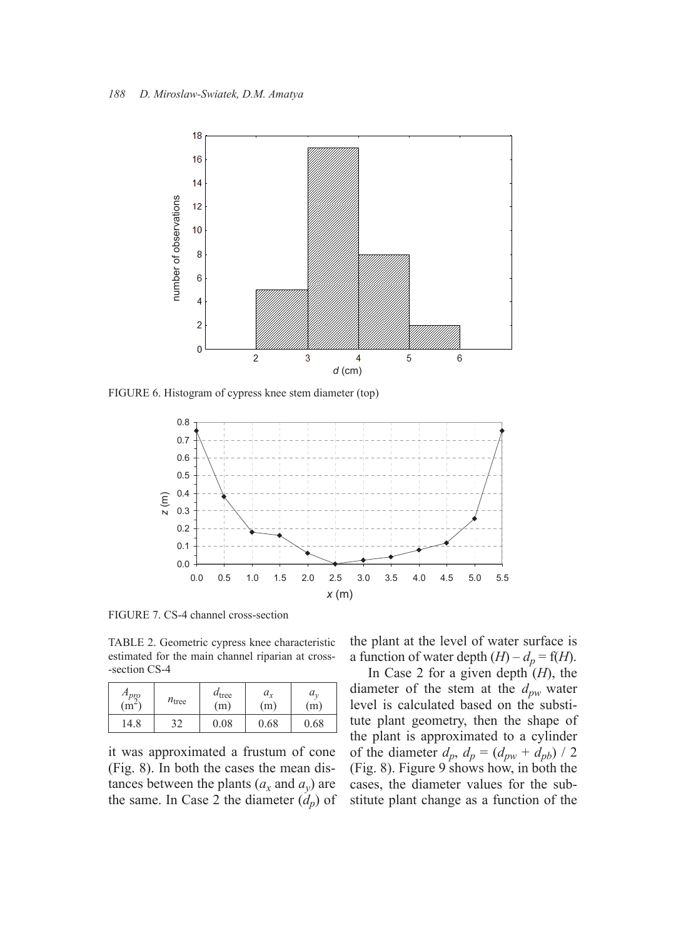

FIGURE 6. Histogram of cypress knee stem diameter (top)



FIGURE 7. CS-4 channel cross-section

TABLE 2. Geometric cypress knee characteristic estimated for the main channel riparian at cross- -section CS-4

| $A_{\text{pro}}$ | $n_{\text{tree}}$ | $d_{\text{tree}}$ | $a_{x}$ | $a_{\cdot}$ |
|------------------|-------------------|-------------------|---------|-------------|
| $(m^2)$          |                   | (m)               | (m)     | (m)         |
| 14.8             | າາ                | 0.08              | 0.68    | 0.68        |

it was approximated a frustum of cone (Fig. 8). In both the cases the mean distances between the plants  $(a_x \text{ and } a_y)$  are the same. In Case 2 the diameter  $(d_p)$  of

the plant at the level of water surface is a function of water depth  $(H) - d_p = f(H)$ .

In Case 2 for a given depth  $(H)$ , the diameter of the stem at the *dpw* water level is calculated based on the substitute plant geometry, then the shape of the plant is approximated to a cylinder of the diameter  $d_p$ ,  $d_p = (d_{pw} + d_{pb})/2$ (Fig. 8). Figure 9 shows how, in both the cases, the diameter values for the substitute plant change as a function of the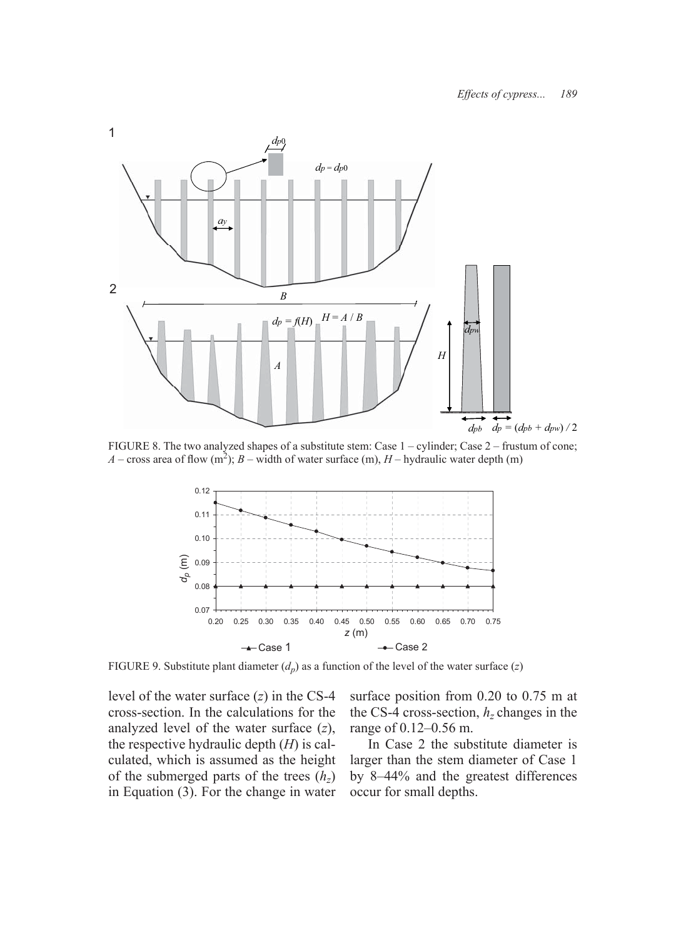

FIGURE 8. The two analyzed shapes of a substitute stem: Case 1 – cylinder; Case 2 – frustum of cone; *A* – cross area of flow (m<sup>2</sup>); *B* – width of water surface (m), *H* – hydraulic water depth (m)



FIGURE 9. Substitute plant diameter  $(d_p)$  as a function of the level of the water surface  $(z)$ 

level of the water surface (*z*) in the CS-4 cross-section. In the calculations for the analyzed level of the water surface (*z*), the respective hydraulic depth (*H*) is calculated, which is assumed as the height of the submerged parts of the trees  $(h_z)$ in Equation (3). For the change in water surface position from 0.20 to 0.75 m at the CS-4 cross-section,  $h<sub>z</sub>$  changes in the range of 0.12–0.56 m.

In Case 2 the substitute diameter is larger than the stem diameter of Case 1 by 8–44% and the greatest differences occur for small depths.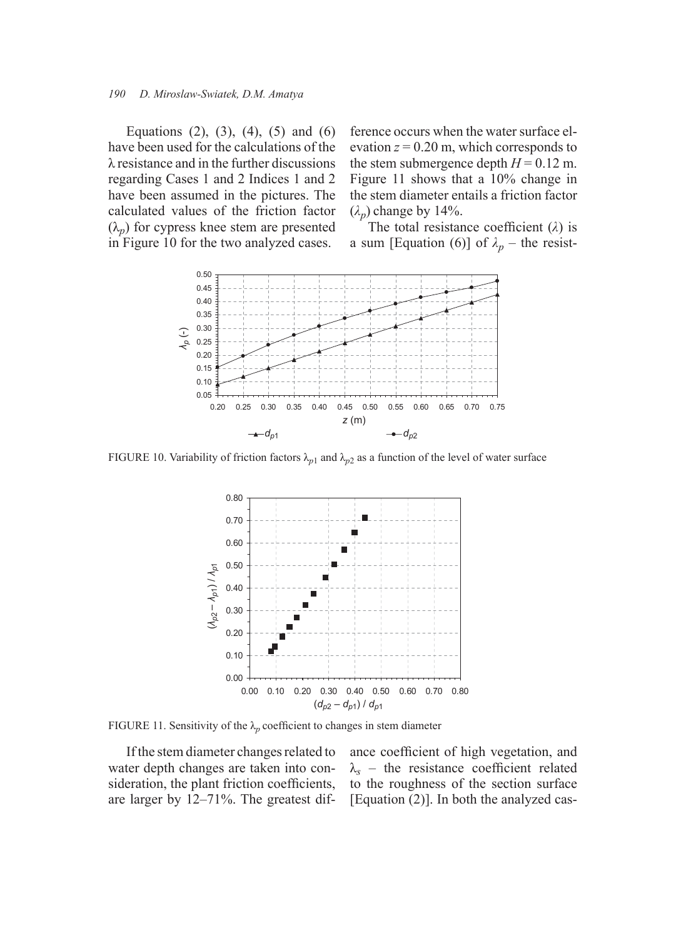#### *190 D. Miroslaw-Swiatek, D.M. Amatya*

Equations  $(2)$ ,  $(3)$ ,  $(4)$ ,  $(5)$  and  $(6)$ have been used for the calculations of the λ resistance and in the further discussions regarding Cases 1 and 2 Indices 1 and 2 have been assumed in the pictures. The calculated values of the friction factor  $(\lambda_p)$  for cypress knee stem are presented in Figure 10 for the two analyzed cases.

ference occurs when the water surface elevation  $z = 0.20$  m, which corresponds to the stem submergence depth  $H = 0.12$  m. Figure 11 shows that a 10% change in the stem diameter entails a friction factor  $(\lambda_n)$  change by 14%.

The total resistance coefficient  $(\lambda)$  is a sum [Equation (6)] of  $\lambda_p$  – the resist-



FIGURE 10. Variability of friction factors  $\lambda_{p1}$  and  $\lambda_{p2}$  as a function of the level of water surface



FIGURE 11. Sensitivity of the  $\lambda_p$  coefficient to changes in stem diameter

If the stem diameter changes related to water depth changes are taken into consideration, the plant friction coefficients, are larger by 12–71%. The greatest difance coefficient of high vegetation, and  $\lambda_s$  – the resistance coefficient related to the roughness of the section surface [Equation (2)]. In both the analyzed cas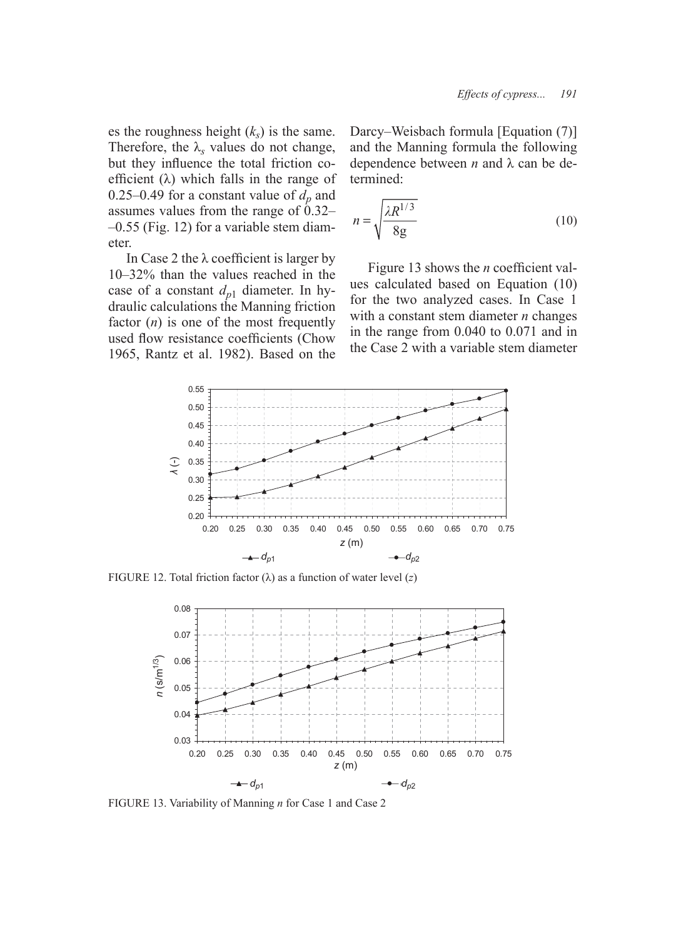es the roughness height  $(k<sub>s</sub>)$  is the same. Therefore, the  $\lambda_s$  values do not change, but they influence the total friction coefficient  $(\lambda)$  which falls in the range of 0.25–0.49 for a constant value of  $d_p$  and assumes values from the range of 0.32– –0.55 (Fig. 12) for a variable stem diameter.

In Case 2 the  $\lambda$  coefficient is larger by 10–32% than the values reached in the case of a constant  $d_{p1}$  diameter. In hydraulic calculations the Manning friction factor (*n*) is one of the most frequently used flow resistance coefficients (Chow 1965, Rantz et al. 1982). Based on the

Darcy–Weisbach formula [Equation (7)] and the Manning formula the following dependence between *n* and λ can be determined:

$$
n = \sqrt{\frac{\lambda R^{1/3}}{8g}}\tag{10}
$$

Figure 13 shows the *n* coefficient values calculated based on Equation (10) for the two analyzed cases. In Case 1 with a constant stem diameter *n* changes in the range from 0.040 to 0.071 and in the Case 2 with a variable stem diameter



FIGURE 12. Total friction factor  $(\lambda)$  as a function of water level  $(z)$ 



FIGURE 13. Variability of Manning *n* for Case 1 and Case 2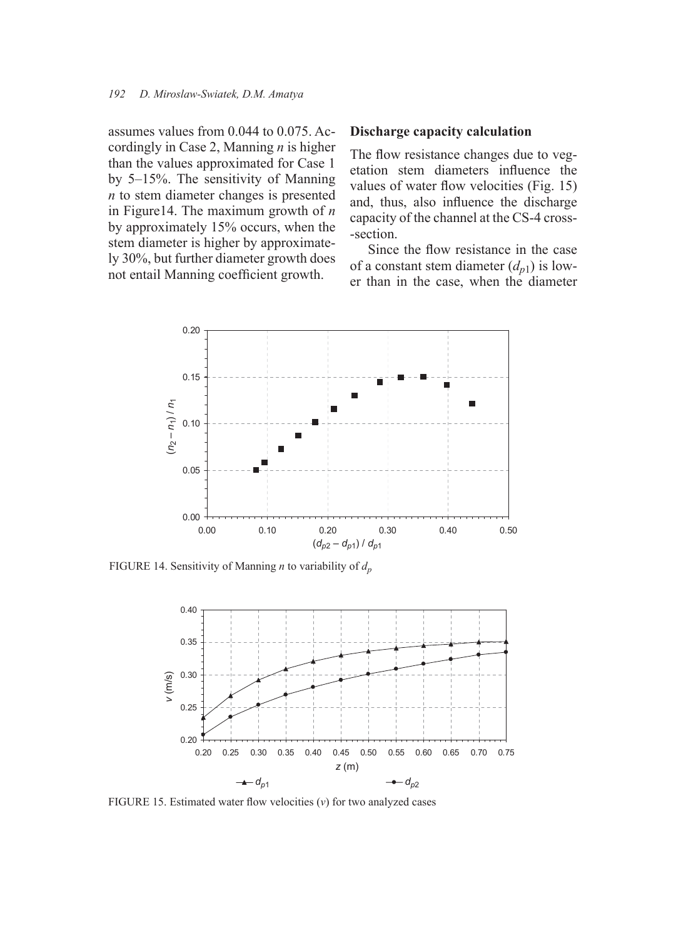assumes values from 0.044 to 0.075. Accordingly in Case 2, Manning *n* is higher than the values approximated for Case 1 by 5–15%. The sensitivity of Manning *n* to stem diameter changes is presented in Figure14. The maximum growth of *n* by approximately 15% occurs, when the stem diameter is higher by approximately 30%, but further diameter growth does not entail Manning coefficient growth.

### **Discharge capacity calculation**

The flow resistance changes due to vegetation stem diameters influence the values of water flow velocities (Fig. 15) and, thus, also influence the discharge capacity of the channel at the CS-4 cross- -section.

Since the flow resistance in the case of a constant stem diameter  $(d_{n_1})$  is lower than in the case, when the diameter



FIGURE 14. Sensitivity of Manning *n* to variability of *dp*



FIGURE 15. Estimated water flow velocities  $(v)$  for two analyzed cases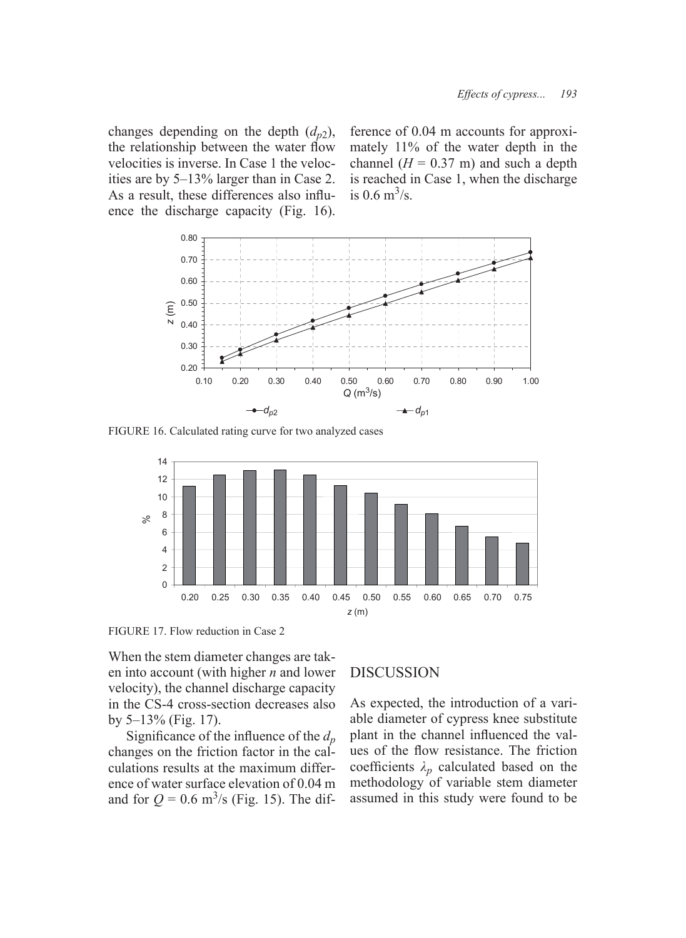changes depending on the depth  $(d_{n2})$ , the relationship between the water flow velocities is inverse. In Case 1 the velocities are by 5–13% larger than in Case 2. As a result, these differences also influence the discharge capacity (Fig. 16). ference of 0.04 m accounts for approximately 11% of the water depth in the channel  $(H = 0.37 \text{ m})$  and such a depth is reached in Case 1, when the discharge is 0.6  $\text{m}^3/\text{s}$ .



FIGURE 16. Calculated rating curve for two analyzed cases



FIGURE 17. Flow reduction in Case 2

When the stem diameter changes are taken into account (with higher *n* and lower velocity), the channel discharge capacity in the CS-4 cross-section decreases also by 5–13% (Fig. 17).

Significance of the influence of the  $d_p$ changes on the friction factor in the calculations results at the maximum difference of water surface elevation of 0.04 m and for  $Q = 0.6 \text{ m}^3\text{/s}$  (Fig. 15). The dif-

# DISCUSSION

As expected, the introduction of a variable diameter of cypress knee substitute plant in the channel influenced the values of the flow resistance. The friction coefficients  $\lambda_n$  calculated based on the methodology of variable stem diameter assumed in this study were found to be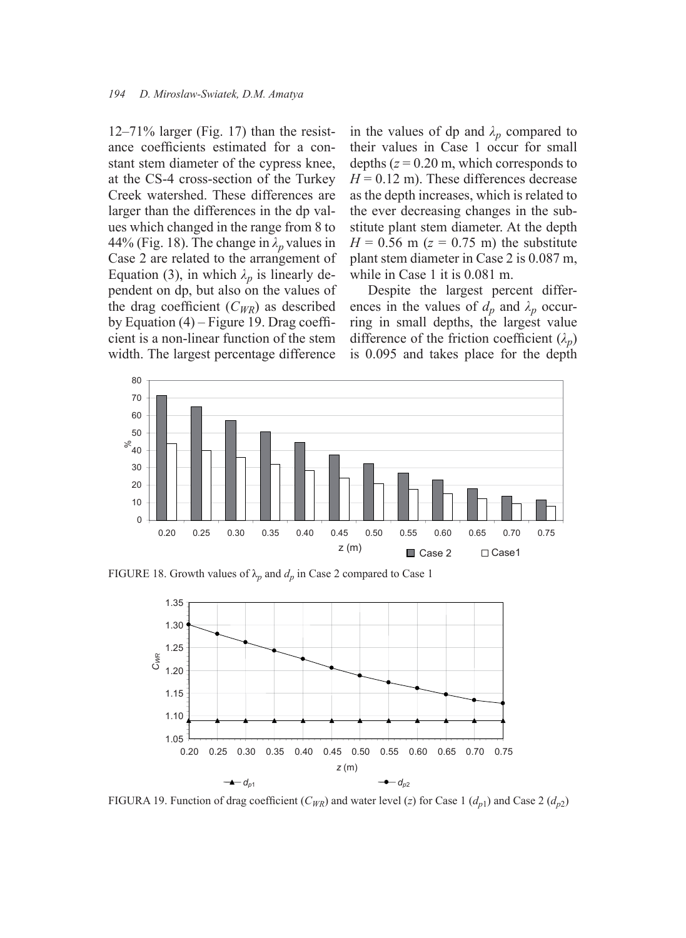12–71% larger (Fig. 17) than the resistance coefficients estimated for a constant stem diameter of the cypress knee, at the CS-4 cross-section of the Turkey Creek watershed. These differences are larger than the differences in the dp values which changed in the range from 8 to 44% (Fig. 18). The change in *λp* values in Case 2 are related to the arrangement of Equation (3), in which  $\lambda_p$  is linearly dependent on dp, but also on the values of the drag coefficient  $(C_{WR})$  as described by Equation  $(4)$  – Figure 19. Drag coefficient is a non-linear function of the stem width. The largest percentage difference

in the values of dp and  $\lambda_p$  compared to their values in Case 1 occur for small depths  $(z = 0.20$  m, which corresponds to  $H = 0.12$  m). These differences decrease as the depth increases, which is related to the ever decreasing changes in the substitute plant stem diameter. At the depth  $H = 0.56$  m ( $z = 0.75$  m) the substitute plant stem diameter in Case 2 is 0.087 m, while in Case 1 it is 0.081 m.

Despite the largest percent differences in the values of  $d_p$  and  $\lambda_p$  occurring in small depths, the largest value difference of the friction coefficient  $(\lambda_p)$ is 0.095 and takes place for the depth



FIGURE 18. Growth values of  $\lambda_p$  and  $d_p$  in Case 2 compared to Case 1



FIGURA 19. Function of drag coefficient ( $C_{WR}$ ) and water level (*z*) for Case 1 ( $d_{p1}$ ) and Case 2 ( $d_{p2}$ )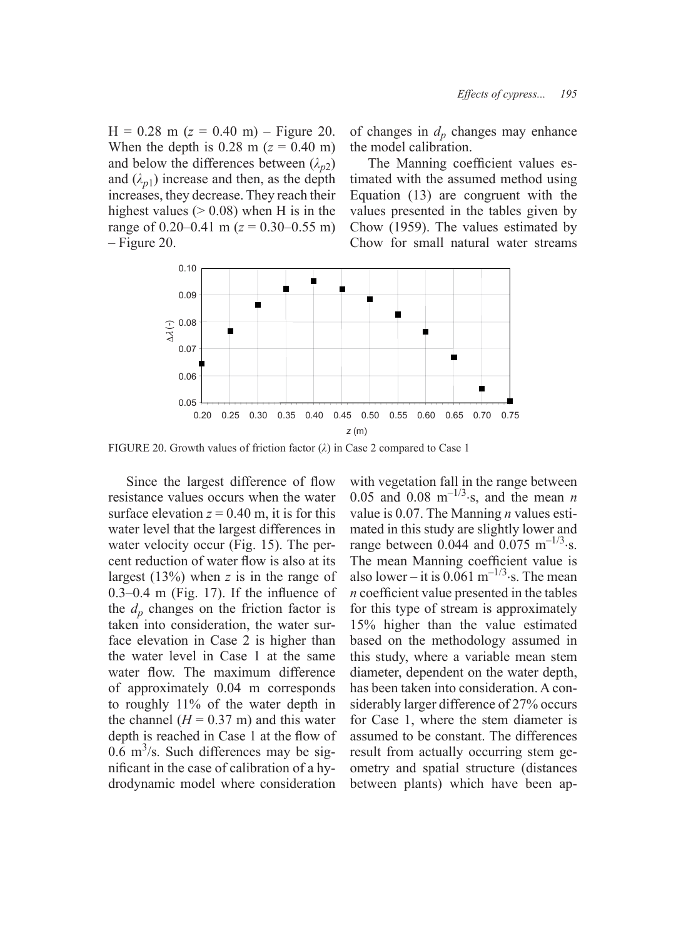$H = 0.28$  m ( $z = 0.40$  m) – Figure 20. When the depth is  $0.28$  m ( $z = 0.40$  m) and below the differences between  $(\lambda_{n2})$ and  $(\lambda_{n1})$  increase and then, as the depth increases, they decrease. They reach their highest values ( $> 0.08$ ) when H is in the range of  $0.20-0.41$  m ( $z = 0.30-0.55$  m) – Figure 20.

of changes in  $d_p$  changes may enhance the model calibration.

The Manning coefficient values estimated with the assumed method using Equation (13) are congruent with the values presented in the tables given by Chow (1959). The values estimated by Chow for small natural water streams



FIGURE 20. Growth values of friction factor (*λ*) in Case 2 compared to Case 1

Since the largest difference of flow resistance values occurs when the water surface elevation  $z = 0.40$  m, it is for this water level that the largest differences in water velocity occur (Fig. 15). The percent reduction of water flow is also at its largest (13%) when *z* is in the range of  $0.3-0.4$  m (Fig. 17). If the influence of the  $d_p$  changes on the friction factor is taken into consideration, the water surface elevation in Case 2 is higher than the water level in Case 1 at the same water flow. The maximum difference of approximately 0.04 m corresponds to roughly 11% of the water depth in the channel  $(H = 0.37 \text{ m})$  and this water depth is reached in Case 1 at the flow of  $0.\dot{6}$  m<sup>3</sup>/s. Such differences may be significant in the case of calibration of a hydrodynamic model where consideration

with vegetation fall in the range between 0.05 and 0.08 m<sup>-1/3</sup>⋅s, and the mean *n* value is 0.07. The Manning *n* values estimated in this study are slightly lower and range between 0.044 and 0.075 m<sup>-1/3</sup>⋅s. The mean Manning coefficient value is also lower – it is  $0.061$  m<sup>-1/3</sup>⋅s. The mean *n* coefficient value presented in the tables for this type of stream is approximately 15% higher than the value estimated based on the methodology assumed in this study, where a variable mean stem diameter, dependent on the water depth, has been taken into consideration. A considerably larger difference of 27% occurs for Case 1, where the stem diameter is assumed to be constant. The differences result from actually occurring stem geometry and spatial structure (distances between plants) which have been ap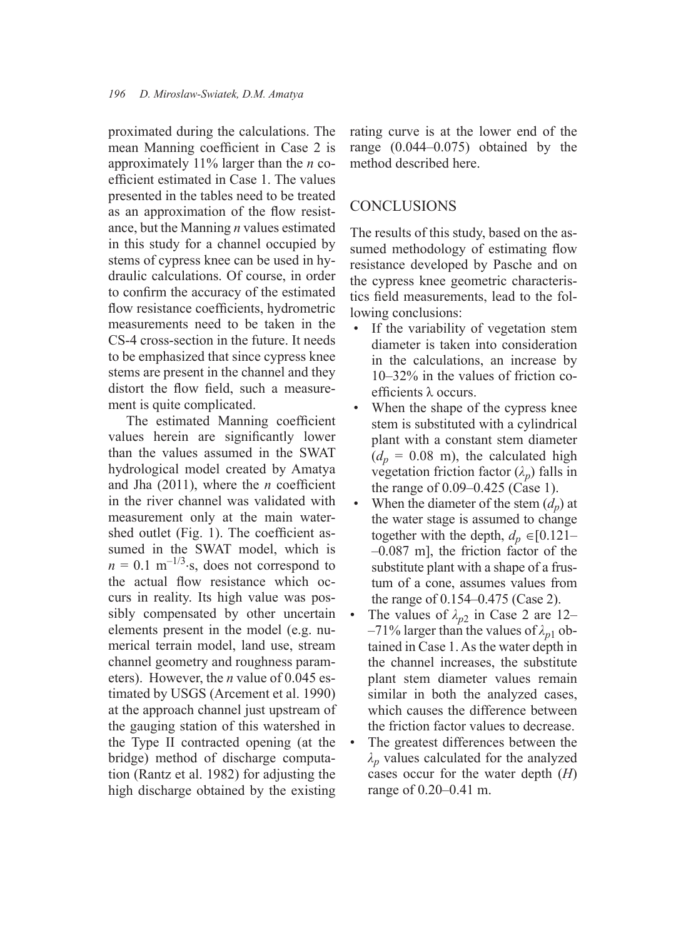proximated during the calculations. The mean Manning coefficient in Case 2 is approximately 11% larger than the *n* coefficient estimated in Case 1. The values presented in the tables need to be treated as an approximation of the flow resistance, but the Manning *n* values estimated in this study for a channel occupied by stems of cypress knee can be used in hydraulic calculations. Of course, in order to confirm the accuracy of the estimated flow resistance coefficients, hydrometric measurements need to be taken in the CS-4 cross-section in the future. It needs to be emphasized that since cypress knee stems are present in the channel and they distort the flow field, such a measurement is quite complicated.

The estimated Manning coefficient values herein are significantly lower than the values assumed in the SWAT hydrological model created by Amatya and Jha  $(2011)$ , where the *n* coefficient in the river channel was validated with measurement only at the main watershed outlet (Fig. 1). The coefficient assumed in the SWAT model, which is  $n = 0.1$  m<sup>-1/3</sup>⋅s, does not correspond to the actual flow resistance which occurs in reality. Its high value was possibly compensated by other uncertain elements present in the model (e.g. numerical terrain model, land use, stream channel geometry and roughness parameters). However, the *n* value of 0.045 estimated by USGS (Arcement et al. 1990) at the approach channel just upstream of the gauging station of this watershed in the Type II contracted opening (at the bridge) method of discharge computation (Rantz et al. 1982) for adjusting the high discharge obtained by the existing

rating curve is at the lower end of the range (0.044–0.075) obtained by the method described here.

# **CONCLUSIONS**

The results of this study, based on the assumed methodology of estimating flow resistance developed by Pasche and on the cypress knee geometric characteristics field measurements, lead to the following conclusions:

- If the variability of vegetation stem diameter is taken into consideration in the calculations, an increase by 10–32% in the values of friction coefficients  $\lambda$  occurs. •
- When the shape of the cypress knee stem is substituted with a cylindrical plant with a constant stem diameter  $(d_p = 0.08 \text{ m})$ , the calculated high vegetation friction factor  $(\lambda_p)$  falls in the range of 0.09–0.425 (Case 1). •
- When the diameter of the stem  $(d_n)$  at the water stage is assumed to change together with the depth,  $d_p \in [0.121]$ –0.087 m], the friction factor of the substitute plant with a shape of a frustum of a cone, assumes values from the range of 0.154–0.475 (Case 2). •
- The values of  $\lambda_{p2}$  in Case 2 are 12–  $-71\%$  larger than the values of  $\lambda_{p1}$  obtained in Case 1. As the water depth in the channel increases, the substitute plant stem diameter values remain similar in both the analyzed cases, which causes the difference between the friction factor values to decrease. •
- The greatest differences between the *λp* values calculated for the analyzed cases occur for the water depth (*H*) range of 0.20–0.41 m. •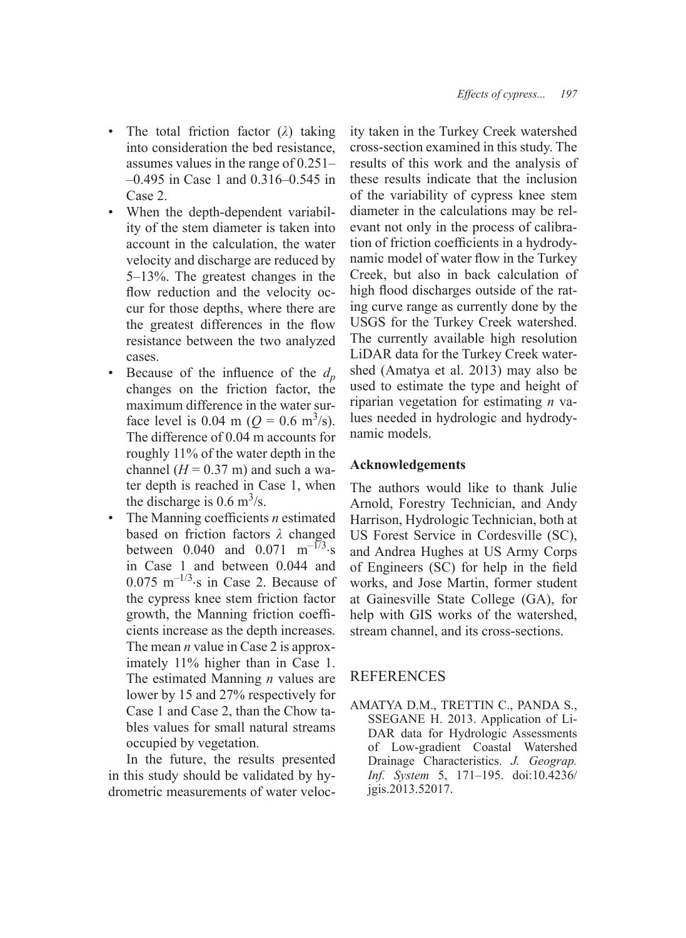- The total friction factor (*λ*) taking into consideration the bed resistance, assumes values in the range of 0.251– –0.495 in Case 1 and 0.316–0.545 in Case 2. •
- When the depth-dependent variability of the stem diameter is taken into account in the calculation, the water velocity and discharge are reduced by 5–13%. The greatest changes in the flow reduction and the velocity occur for those depths, where there are the greatest differences in the flow resistance between the two analyzed cases.
- Because of the influence of the  $d_p$ changes on the friction factor, the maximum difference in the water surface level is 0.04 m ( $Q = 0.6$  m<sup>3</sup>/s). The difference of 0.04 m accounts for roughly 11% of the water depth in the channel  $(H = 0.37 \text{ m})$  and such a water depth is reached in Case 1, when the discharge is  $0.6 \text{ m}^3/\text{s}$ . •
- The Manning coefficients *n* estimated based on friction factors *λ* changed between 0.040 and 0.071 m<sup>-173</sup>⋅s in Case 1 and between 0.044 and 0.075 m<sup> $-1/3$ </sup>⋅s in Case 2. Because of the cypress knee stem friction factor growth, the Manning friction coefficients increase as the depth increases. The mean *n* value in Case 2 is approximately 11% higher than in Case 1. The estimated Manning *n* values are lower by 15 and 27% respectively for Case 1 and Case 2, than the Chow tables values for small natural streams occupied by vegetation. •

In the future, the results presented in this study should be validated by hydrometric measurements of water velocity taken in the Turkey Creek watershed cross-section examined in this study. The results of this work and the analysis of these results indicate that the inclusion of the variability of cypress knee stem diameter in the calculations may be relevant not only in the process of calibration of friction coefficients in a hydrodynamic model of water flow in the Turkey Creek, but also in back calculation of high flood discharges outside of the rating curve range as currently done by the USGS for the Turkey Creek watershed. The currently available high resolution LiDAR data for the Turkey Creek watershed (Amatya et al. 2013) may also be used to estimate the type and height of riparian vegetation for estimating *n* values needed in hydrologic and hydrodynamic models.

### **Acknowledgements**

The authors would like to thank Julie Arnold, Forestry Technician, and Andy Harrison, Hydrologic Technician, both at US Forest Service in Cordesville (SC), and Andrea Hughes at US Army Corps of Engineers (SC) for help in the field works, and Jose Martin, former student at Gainesville State College (GA), for help with GIS works of the watershed, stream channel, and its cross-sections.

# REFERENCES

AMATYA D.M., TRETTIN C., PANDA S., SSEGANE H. 2013. Application of Li-DAR data for Hydrologic Assessments of Low-gradient Coastal Watershed Drainage Characteristics. *J. Geograp. Inf. System* 5, 171–195. doi:10.4236/ jgis.2013.52017.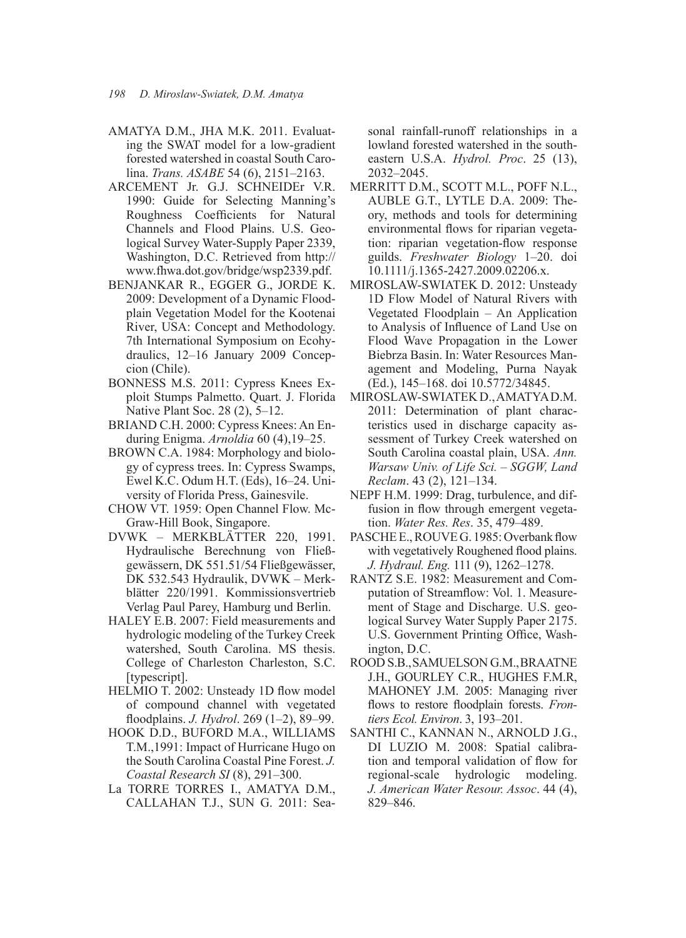- AMATYA D.M., JHA M.K. 2011. Evaluating the SWAT model for a low-gradient forested watershed in coastal South Carolina. *Trans. ASABE* 54 (6), 2151–2163.
- ARCEMENT Jr. G.J. SCHNEIDEr V.R. 1990: Guide for Selecting Manning's Roughness Coefficients for Natural Channels and Flood Plains. U.S. Geological Survey Water-Supply Paper 2339, Washington, D.C. Retrieved from http:// www.fhwa.dot.gov/bridge/wsp2339.pdf.
- BENJANKAR R., EGGER G., JORDE K. 2009: Development of a Dynamic Floodplain Vegetation Model for the Kootenai River, USA: Concept and Methodology. 7th International Symposium on Ecohydraulics, 12–16 January 2009 Concepcion (Chile).
- BONNESS M.S. 2011: Cypress Knees Exploit Stumps Palmetto. Quart. J. Florida Native Plant Soc. 28 (2), 5–12.
- BRIAND C.H. 2000: Cypress Knees: An Enduring Enigma. *Arnoldia* 60 (4),19–25.
- BROWN C.A. 1984: Morphology and biology of cypress trees. In: Cypress Swamps, Ewel K.C. Odum H.T. (Eds), 16–24. University of Florida Press, Gainesvile.
- CHOW VT. 1959: Open Channel Flow. Mc-Graw-Hill Book, Singapore.
- DVWK MERKBLÄTTER 220, 1991. Hydraulische Berechnung von Fließgewässern, DK 551.51/54 Fließgewässer, DK 532.543 Hydraulik, DVWK – Merkblätter 220/1991. Kommissionsvertrieb Verlag Paul Parey, Hamburg und Berlin.
- HALEY E.B. 2007: Field measurements and hydrologic modeling of the Turkey Creek watershed, South Carolina. MS thesis. College of Charleston Charleston, S.C. [typescript].
- HELMIO T. 2002: Unsteady 1D flow model of compound channel with vegetated fl oodplains. *J. Hydrol*. 269 (1–2), 89–99.
- HOOK D.D., BUFORD M.A., WILLIAMS T.M.,1991: Impact of Hurricane Hugo on the South Carolina Coastal Pine Forest. *J. Coastal Research SI* (8), 291–300.
- La TORRE TORRES I., AMATYA D.M., CALLAHAN T.J., SUN G. 2011: Sea-

sonal rainfall-runoff relationships in a lowland forested watershed in the southeastern U.S.A. *Hydrol. Proc*. 25 (13), 2032–2045.

- MERRITT D.M., SCOTT M.L., POFF N.L., AUBLE G.T., LYTLE D.A. 2009: Theory, methods and tools for determining environmental flows for riparian vegetation: riparian vegetation-flow response guilds. *Freshwater Biology* 1–20. doi 10.1111/j.1365-2427.2009.02206.x.
- MIROSLAW-SWIATEK D. 2012: Unsteady 1D Flow Model of Natural Rivers with Vegetated Floodplain – An Application to Analysis of Influence of Land Use on Flood Wave Propagation in the Lower Biebrza Basin. In: Water Resources Management and Modeling, Purna Nayak (Ed.), 145–168. doi 10.5772/34845.
- MIROSLAW-SWIATEK D., AMATYA D.M. 2011: Determination of plant characteristics used in discharge capacity assessment of Turkey Creek watershed on South Carolina coastal plain, USA. *Ann. Warsaw Univ. of Life Sci. – SGGW, Land Reclam*. 43 (2), 121–134.
- NEPF H.M. 1999: Drag, turbulence, and diffusion in flow through emergent vegetation. *Water Res. Res*. 35, 479–489.
- PASCHE E., ROUVE G. 1985: Overbank flow with vegetatively Roughened flood plains. *J. Hydraul. Eng.* 111 (9), 1262–1278.
- RANTZ S.E. 1982: Measurement and Computation of Streamflow: Vol. 1. Measurement of Stage and Discharge. U.S. geological Survey Water Supply Paper 2175. U.S. Government Printing Office, Washington, D.C.
- ROOD S.B., SAMUELSON G.M., BRAATNE J.H., GOURLEY C.R., HUGHES F.M.R, MAHONEY J.M. 2005: Managing river flows to restore floodplain forests. *Frontiers Ecol. Environ*. 3, 193–201.
- SANTHI C., KANNAN N., ARNOLD J.G., DI LUZIO M. 2008: Spatial calibration and temporal validation of flow for regional-scale hydrologic modeling. *J. American Water Resour. Assoc*. 44 (4), 829–846.